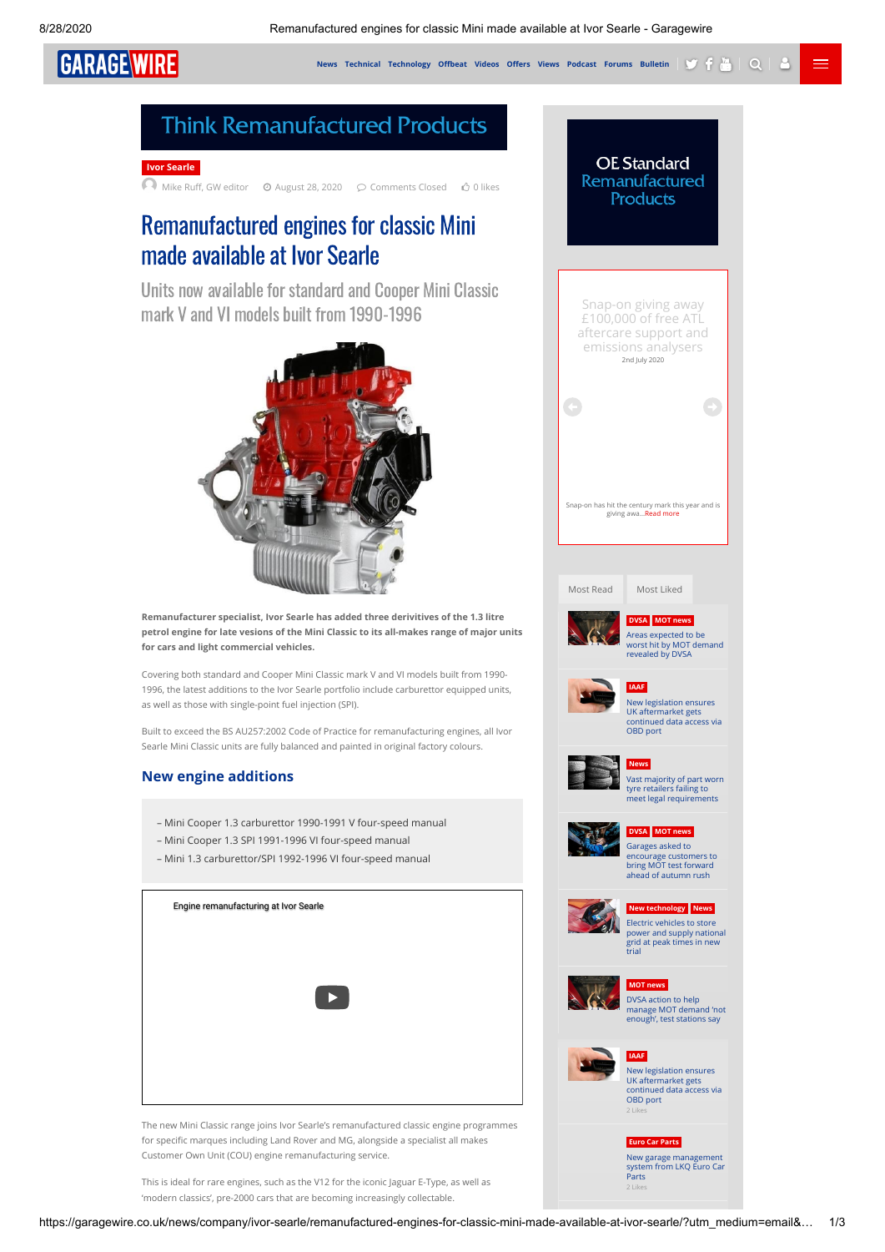**[News](https://garagewire.co.uk/category/news/) [Technical](https://garagewire.co.uk/category/news/technical/) <code>[Technology](https://garagewire.co.uk/category/news/new-technology/)</code> Offbeat <code>[Videos](https://garagewire.co.uk/category/news/videos/) Offers [Views](https://garagewire.co.uk/category/news/garage-wire-views/) [Podcast](https://garagewire.co.uk/garage-wire-podcast/) [Forums](https://garagewire.co.uk/forums/) [Bulletin](https://garagewire.createsend1.com/t/ViewEmail/r/F253A254FCD41B982540EF23F30FEDED)**  $\mathbf{y}$  $\mathbf{f}$  $\mathbf{w}$  $\mathbf{Q}$  $\mathbf{Q}$ </code>

**GARAGEWIRE** 

## **Think Remanufactured Products**



[Mike Ru, GW editor](https://garagewire.co.uk/author/garage-wire-editor/) August 28, 2020 Comments Closed 0 likes

## Remanufactured engines for classic Mini made available at Ivor Searle

Units now available for standard and Cooper Mini Classic mark V and VI models built from 1990-1996



<span id="page-0-0"></span>**Remanufacturer specialist, Ivor Searle has added three derivitives of the 1.3 litre petrol engine for late vesions of the Mini Classic to its all-makes range of major units for cars and light commercial vehicles.**

Covering both standard and Cooper Mini Classic mark V and VI models built from 1990- 1996, the latest additions to the Ivor Searle portfolio include carburettor equipped units, as well as those with single-point fuel injection (SPI).

Built to exceed the BS AU257:2002 Code of Practice for remanufacturing engines, all Ivor Searle Mini Classic units are fully balanced and painted in original factory colours.

## **New engine additions**

- Mini Cooper 1.3 carburettor 1990-1991 V four-speed manual
- Mini Cooper 1.3 SPI 1991-1996 VI four-speed manual
- Mini 1.3 carburettor/SPI 1992-1996 VI four-speed manual

| Engine remanufacturing at Ivor Searle |
|---------------------------------------|
|                                       |
|                                       |
| ▕▕▶○                                  |
|                                       |
|                                       |
|                                       |

The new Mini Classic range joins Ivor Searle's remanufactured classic engine programmes for specific marques including Land Rover and MG, alongside a specialist all makes Customer Own Unit (COU) engine remanufacturing service.

This is ideal for rare engines, such as the V12 for the iconic Jaguar E-Type, as well as 'modern classics', pre-2000 cars that are becoming increasingly collectable.



<span id="page-0-1"></span>**[Euro Car Parts](https://garagewire.co.uk/category/offers/suppliers-brands/euro-car-parts-suppliers-brands/)** New garage management [system from LKQ Euro Car](https://garagewire.co.uk/offers/suppliers-brands/euro-car-parts-suppliers-brands/new-garage-management-system-from-lkq-euro-car-parts/) Parts [2 Likes](https://garagewire.co.uk/offers/suppliers-brands/euro-car-parts-suppliers-brands/new-garage-management-system-from-lkq-euro-car-parts//)